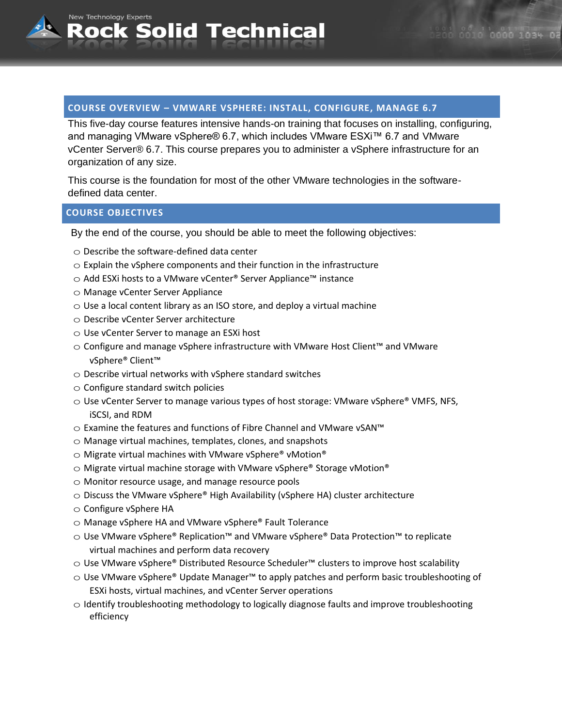# **COURSE OVERVIEW – VMWARE VSPHERE: INSTALL, CONFIGURE, MANAGE 6.7**

This five-day course features intensive hands-on training that focuses on installing, configuring, and managing VMware vSphere® 6.7, which includes VMware ESXi™ 6.7 and VMware vCenter Server® 6.7. This course prepares you to administer a vSphere infrastructure for an organization of any size.

This course is the foundation for most of the other VMware technologies in the softwaredefined data center.

## **COURSE OBJECTIVES**

New Technology Experts

By the end of the course, you should be able to meet the following objectives:

- $\circ$  Describe the software-defined data center
- $\circ$  Explain the vSphere components and their function in the infrastructure
- o Add ESXi hosts to a VMware vCenter® Server Appliance™ instance

Rock Solid Technical

- o Manage vCenter Server Appliance
- $\circ$  Use a local content library as an ISO store, and deploy a virtual machine
- o Describe vCenter Server architecture
- o Use vCenter Server to manage an ESXi host
- o Configure and manage vSphere infrastructure with VMware Host Client™ and VMware vSphere® Client™
- $\circ$  Describe virtual networks with vSphere standard switches
- $\circ$  Configure standard switch policies
- $\circ$  Use vCenter Server to manage various types of host storage: VMware vSphere® VMFS, NFS, iSCSI, and RDM
- o Examine the features and functions of Fibre Channel and VMware vSAN™
- $\circ$  Manage virtual machines, templates, clones, and snapshots
- $\circ$  Migrate virtual machines with VMware vSphere® vMotion®
- $\circ$  Migrate virtual machine storage with VMware vSphere® Storage vMotion®
- $\circ$  Monitor resource usage, and manage resource pools
- o Discuss the VMware vSphere® High Availability (vSphere HA) cluster architecture
- o Configure vSphere HA
- o Manage vSphere HA and VMware vSphere® Fault Tolerance
- o Use VMware vSphere® Replication™ and VMware vSphere® Data Protection™ to replicate virtual machines and perform data recovery
- o Use VMware vSphere® Distributed Resource Scheduler™ clusters to improve host scalability
- o Use VMware vSphere® Update Manager™ to apply patches and perform basic troubleshooting of ESXi hosts, virtual machines, and vCenter Server operations
- $\circ$  Identify troubleshooting methodology to logically diagnose faults and improve troubleshooting efficiency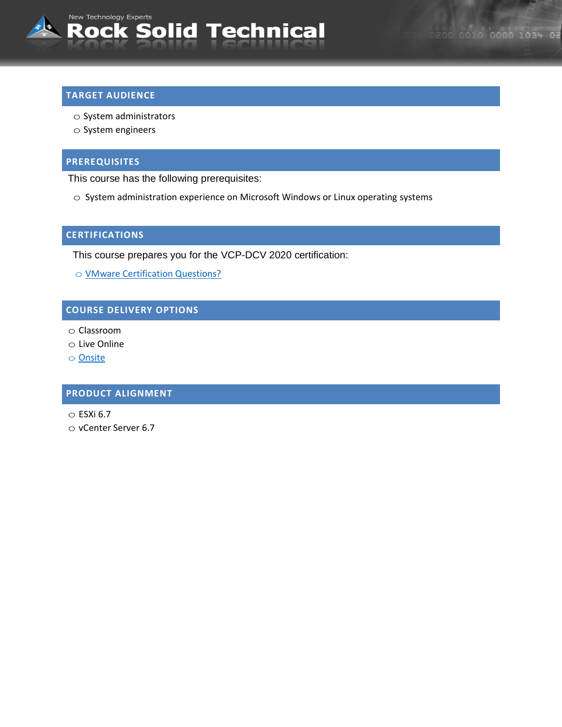

## **TARGET AUDIENCE**

- o System administrators
- o System engineers

## **PREREQUISITES**

This course has the following prerequisites:

o System administration experience on Microsoft Windows or Linux operating systems

## **CERTIFICATIONS**

This course prepares you for the VCP-DCV 2020 certification:

o [VMware Certification Questions?](mailto:sales@rocksolidtechnical.com?subject=VMware%20Certification%20Question)

# **COURSE DELIVERY OPTIONS**

- o Classroom
- o Live Online
- o [Onsite](mailto:sales@rocksolidtechnical.com?subject=On-Site%20Inquiry)

## **PRODUCT ALIGNMENT**

- $\circ$  ESXi 6.7
- o vCenter Server 6.7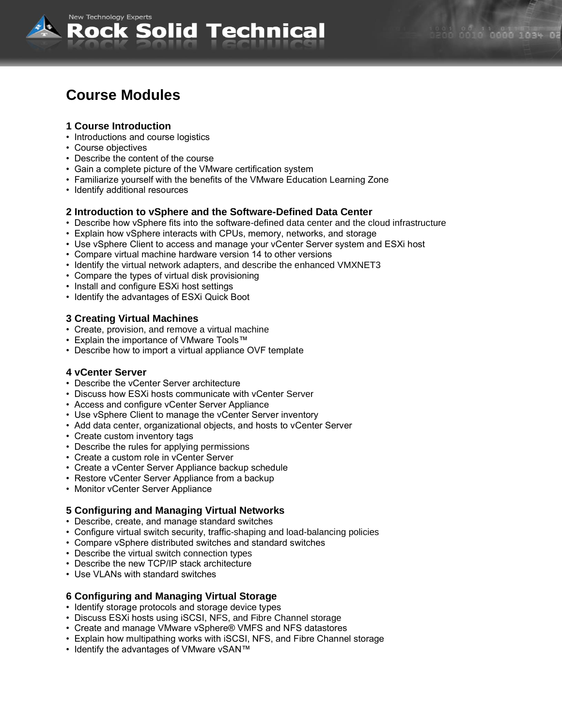

# **Course Modules**

New Technology Experts

## **1 Course Introduction**

- Introductions and course logistics
- Course objectives
- Describe the content of the course
- Gain a complete picture of the VMware certification system

lock Solid Technical

- Familiarize yourself with the benefits of the VMware Education Learning Zone
- Identify additional resources

#### **2 Introduction to vSphere and the Software-Defined Data Center**

- Describe how vSphere fits into the software-defined data center and the cloud infrastructure
- Explain how vSphere interacts with CPUs, memory, networks, and storage
- Use vSphere Client to access and manage your vCenter Server system and ESXi host
- Compare virtual machine hardware version 14 to other versions
- Identify the virtual network adapters, and describe the enhanced VMXNET3
- Compare the types of virtual disk provisioning
- Install and configure ESXi host settings
- Identify the advantages of ESXi Quick Boot

#### **3 Creating Virtual Machines**

- Create, provision, and remove a virtual machine
- Explain the importance of VMware Tools™
- Describe how to import a virtual appliance OVF template

#### **4 vCenter Server**

- Describe the vCenter Server architecture
- Discuss how ESXi hosts communicate with vCenter Server
- Access and configure vCenter Server Appliance
- Use vSphere Client to manage the vCenter Server inventory
- Add data center, organizational objects, and hosts to vCenter Server
- Create custom inventory tags
- Describe the rules for applying permissions
- Create a custom role in vCenter Server
- Create a vCenter Server Appliance backup schedule
- Restore vCenter Server Appliance from a backup
- Monitor vCenter Server Appliance

## **5 Configuring and Managing Virtual Networks**

- Describe, create, and manage standard switches
- Configure virtual switch security, traffic-shaping and load-balancing policies
- Compare vSphere distributed switches and standard switches
- Describe the virtual switch connection types
- Describe the new TCP/IP stack architecture
- Use VLANs with standard switches

## **6 Configuring and Managing Virtual Storage**

- Identify storage protocols and storage device types
- Discuss ESXi hosts using iSCSI, NFS, and Fibre Channel storage
- Create and manage VMware vSphere® VMFS and NFS datastores
- Explain how multipathing works with iSCSI, NFS, and Fibre Channel storage
- Identify the advantages of VMware vSAN™